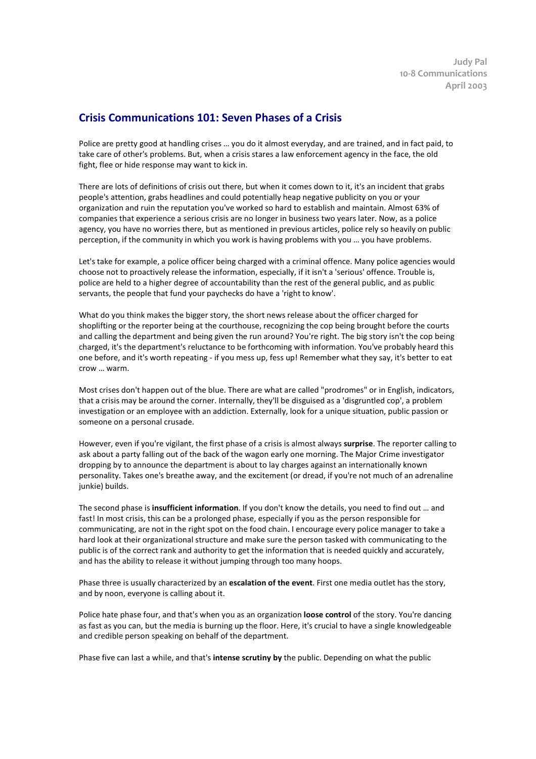## **Crisis Communications 101: Seven Phases of a Crisis**

Police are pretty good at handling crises … you do it almost everyday, and are trained, and in fact paid, to take care of other's problems. But, when a crisis stares a law enforcement agency in the face, the old fight, flee or hide response may want to kick in.

There are lots of definitions of crisis out there, but when it comes down to it, it's an incident that grabs people's attention, grabs headlines and could potentially heap negative publicity on you or your organization and ruin the reputation you've worked so hard to establish and maintain. Almost 63% of companies that experience a serious crisis are no longer in business two years later. Now, as a police agency, you have no worries there, but as mentioned in previous articles, police rely so heavily on public perception, if the community in which you work is having problems with you … you have problems.

Let's take for example, a police officer being charged with a criminal offence. Many police agencies would choose not to proactively release the information, especially, if it isn't a 'serious' offence. Trouble is, police are held to a higher degree of accountability than the rest of the general public, and as public servants, the people that fund your paychecks do have a 'right to know'.

What do you think makes the bigger story, the short news release about the officer charged for shoplifting or the reporter being at the courthouse, recognizing the cop being brought before the courts and calling the department and being given the run around? You're right. The big story isn't the cop being charged, it's the department's reluctance to be forthcoming with information. You've probably heard this one before, and it's worth repeating - if you mess up, fess up! Remember what they say, it's better to eat crow … warm.

Most crises don't happen out of the blue. There are what are called "prodromes" or in English, indicators, that a crisis may be around the corner. Internally, they'll be disguised as a 'disgruntled cop', a problem investigation or an employee with an addiction. Externally, look for a unique situation, public passion or someone on a personal crusade.

However, even if you're vigilant, the first phase of a crisis is almost always **surprise**. The reporter calling to ask about a party falling out of the back of the wagon early one morning. The Major Crime investigator dropping by to announce the department is about to lay charges against an internationally known personality. Takes one's breathe away, and the excitement (or dread, if you're not much of an adrenaline junkie) builds.

The second phase is **insufficient information**. If you don't know the details, you need to find out … and fast! In most crisis, this can be a prolonged phase, especially if you as the person responsible for communicating, are not in the right spot on the food chain. I encourage every police manager to take a hard look at their organizational structure and make sure the person tasked with communicating to the public is of the correct rank and authority to get the information that is needed quickly and accurately, and has the ability to release it without jumping through too many hoops.

Phase three is usually characterized by an **escalation of the event**. First one media outlet has the story, and by noon, everyone is calling about it.

Police hate phase four, and that's when you as an organization **loose control** of the story. You're dancing as fast as you can, but the media is burning up the floor. Here, it's crucial to have a single knowledgeable and credible person speaking on behalf of the department.

Phase five can last a while, and that's **intense scrutiny by** the public. Depending on what the public